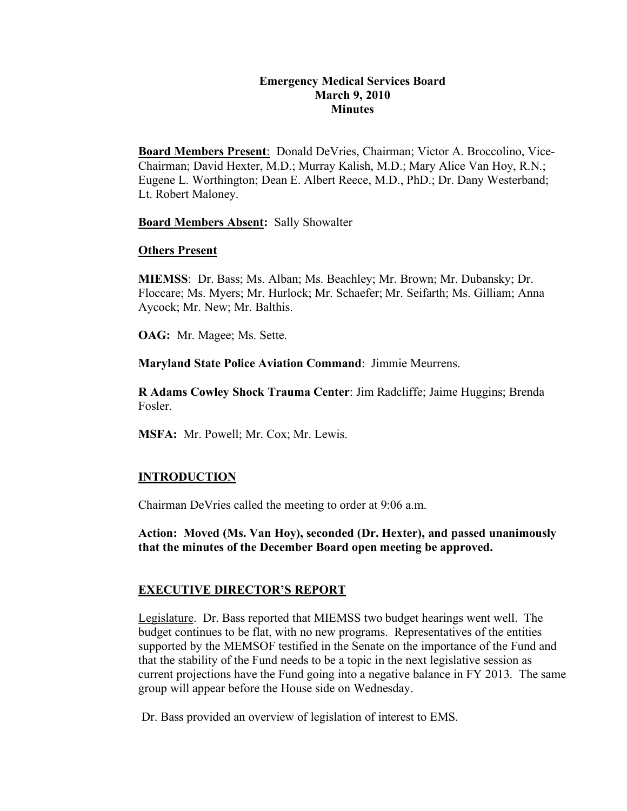# **Emergency Medical Services Board March 9, 2010 Minutes**

**Board Members Present**: Donald DeVries, Chairman; Victor A. Broccolino, Vice-Chairman; David Hexter, M.D.; Murray Kalish, M.D.; Mary Alice Van Hoy, R.N.; Eugene L. Worthington; Dean E. Albert Reece, M.D., PhD.; Dr. Dany Westerband; Lt. Robert Maloney.

**Board Members Absent:** Sally Showalter

## **Others Present**

**MIEMSS**: Dr. Bass; Ms. Alban; Ms. Beachley; Mr. Brown; Mr. Dubansky; Dr. Floccare; Ms. Myers; Mr. Hurlock; Mr. Schaefer; Mr. Seifarth; Ms. Gilliam; Anna Aycock; Mr. New; Mr. Balthis.

**OAG:** Mr. Magee; Ms. Sette.

**Maryland State Police Aviation Command**: Jimmie Meurrens.

**R Adams Cowley Shock Trauma Center**: Jim Radcliffe; Jaime Huggins; Brenda Fosler.

**MSFA:** Mr. Powell; Mr. Cox; Mr. Lewis.

## **INTRODUCTION**

Chairman DeVries called the meeting to order at 9:06 a.m.

**Action: Moved (Ms. Van Hoy), seconded (Dr. Hexter), and passed unanimously that the minutes of the December Board open meeting be approved.**

## **EXECUTIVE DIRECTOR'S REPORT**

Legislature. Dr. Bass reported that MIEMSS two budget hearings went well. The budget continues to be flat, with no new programs. Representatives of the entities supported by the MEMSOF testified in the Senate on the importance of the Fund and that the stability of the Fund needs to be a topic in the next legislative session as current projections have the Fund going into a negative balance in FY 2013. The same group will appear before the House side on Wednesday.

Dr. Bass provided an overview of legislation of interest to EMS.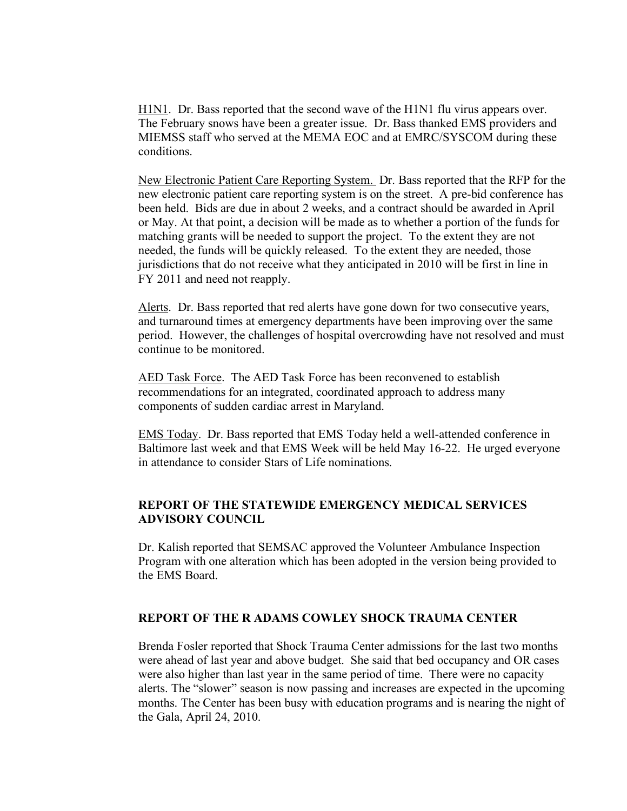H1N1. Dr. Bass reported that the second wave of the H1N1 flu virus appears over. The February snows have been a greater issue. Dr. Bass thanked EMS providers and MIEMSS staff who served at the MEMA EOC and at EMRC/SYSCOM during these conditions.

New Electronic Patient Care Reporting System. Dr. Bass reported that the RFP for the new electronic patient care reporting system is on the street. A pre-bid conference has been held. Bids are due in about 2 weeks, and a contract should be awarded in April or May. At that point, a decision will be made as to whether a portion of the funds for matching grants will be needed to support the project. To the extent they are not needed, the funds will be quickly released. To the extent they are needed, those jurisdictions that do not receive what they anticipated in 2010 will be first in line in FY 2011 and need not reapply.

Alerts. Dr. Bass reported that red alerts have gone down for two consecutive years, and turnaround times at emergency departments have been improving over the same period. However, the challenges of hospital overcrowding have not resolved and must continue to be monitored.

AED Task Force. The AED Task Force has been reconvened to establish recommendations for an integrated, coordinated approach to address many components of sudden cardiac arrest in Maryland.

EMS Today. Dr. Bass reported that EMS Today held a well-attended conference in Baltimore last week and that EMS Week will be held May 16-22. He urged everyone in attendance to consider Stars of Life nominations.

# **REPORT OF THE STATEWIDE EMERGENCY MEDICAL SERVICES ADVISORY COUNCIL**

Dr. Kalish reported that SEMSAC approved the Volunteer Ambulance Inspection Program with one alteration which has been adopted in the version being provided to the EMS Board.

## **REPORT OF THE R ADAMS COWLEY SHOCK TRAUMA CENTER**

Brenda Fosler reported that Shock Trauma Center admissions for the last two months were ahead of last year and above budget. She said that bed occupancy and OR cases were also higher than last year in the same period of time. There were no capacity alerts. The "slower" season is now passing and increases are expected in the upcoming months. The Center has been busy with education programs and is nearing the night of the Gala, April 24, 2010.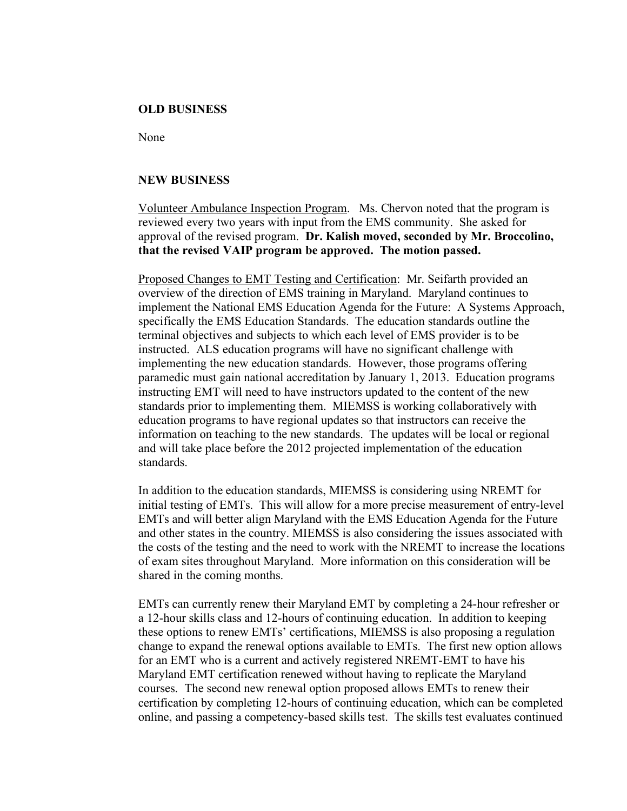#### **OLD BUSINESS**

None

### **NEW BUSINESS**

Volunteer Ambulance Inspection Program. Ms. Chervon noted that the program is reviewed every two years with input from the EMS community. She asked for approval of the revised program. **Dr. Kalish moved, seconded by Mr. Broccolino, that the revised VAIP program be approved. The motion passed.**

Proposed Changes to EMT Testing and Certification: Mr. Seifarth provided an overview of the direction of EMS training in Maryland. Maryland continues to implement the National EMS Education Agenda for the Future: A Systems Approach, specifically the EMS Education Standards. The education standards outline the terminal objectives and subjects to which each level of EMS provider is to be instructed. ALS education programs will have no significant challenge with implementing the new education standards. However, those programs offering paramedic must gain national accreditation by January 1, 2013. Education programs instructing EMT will need to have instructors updated to the content of the new standards prior to implementing them. MIEMSS is working collaboratively with education programs to have regional updates so that instructors can receive the information on teaching to the new standards. The updates will be local or regional and will take place before the 2012 projected implementation of the education standards.

In addition to the education standards, MIEMSS is considering using NREMT for initial testing of EMTs. This will allow for a more precise measurement of entry-level EMTs and will better align Maryland with the EMS Education Agenda for the Future and other states in the country. MIEMSS is also considering the issues associated with the costs of the testing and the need to work with the NREMT to increase the locations of exam sites throughout Maryland. More information on this consideration will be shared in the coming months.

EMTs can currently renew their Maryland EMT by completing a 24-hour refresher or a 12-hour skills class and 12-hours of continuing education. In addition to keeping these options to renew EMTs' certifications, MIEMSS is also proposing a regulation change to expand the renewal options available to EMTs. The first new option allows for an EMT who is a current and actively registered NREMT-EMT to have his Maryland EMT certification renewed without having to replicate the Maryland courses. The second new renewal option proposed allows EMTs to renew their certification by completing 12-hours of continuing education, which can be completed online, and passing a competency-based skills test. The skills test evaluates continued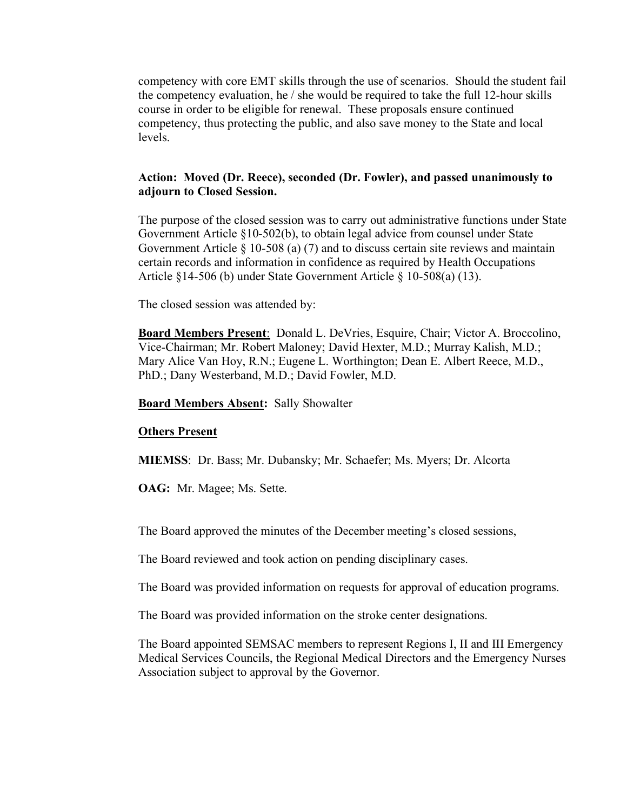competency with core EMT skills through the use of scenarios. Should the student fail the competency evaluation, he / she would be required to take the full 12-hour skills course in order to be eligible for renewal. These proposals ensure continued competency, thus protecting the public, and also save money to the State and local levels.

# **Action: Moved (Dr. Reece), seconded (Dr. Fowler), and passed unanimously to adjourn to Closed Session.**

The purpose of the closed session was to carry out administrative functions under State Government Article §10-502(b), to obtain legal advice from counsel under State Government Article § 10-508 (a) (7) and to discuss certain site reviews and maintain certain records and information in confidence as required by Health Occupations Article §14-506 (b) under State Government Article § 10-508(a) (13).

The closed session was attended by:

**Board Members Present**: Donald L. DeVries, Esquire, Chair; Victor A. Broccolino, Vice-Chairman; Mr. Robert Maloney; David Hexter, M.D.; Murray Kalish, M.D.; Mary Alice Van Hoy, R.N.; Eugene L. Worthington; Dean E. Albert Reece, M.D., PhD.; Dany Westerband, M.D.; David Fowler, M.D.

#### **Board Members Absent:** Sally Showalter

#### **Others Present**

**MIEMSS**: Dr. Bass; Mr. Dubansky; Mr. Schaefer; Ms. Myers; Dr. Alcorta

**OAG:** Mr. Magee; Ms. Sette.

The Board approved the minutes of the December meeting's closed sessions,

The Board reviewed and took action on pending disciplinary cases.

The Board was provided information on requests for approval of education programs.

The Board was provided information on the stroke center designations.

The Board appointed SEMSAC members to represent Regions I, II and III Emergency Medical Services Councils, the Regional Medical Directors and the Emergency Nurses Association subject to approval by the Governor.